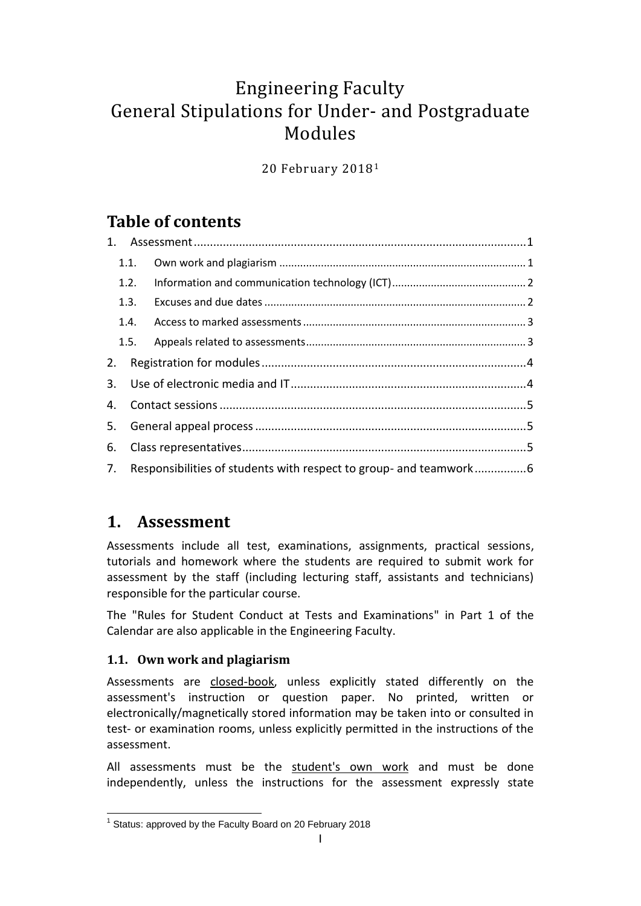# Engineering Faculty General Stipulations for Under- and Postgraduate Modules

20 February 2018<sup>1</sup>

## **Table of contents**

| 1.1. |                                                                      |  |
|------|----------------------------------------------------------------------|--|
| 1.2. |                                                                      |  |
|      |                                                                      |  |
|      |                                                                      |  |
|      |                                                                      |  |
|      |                                                                      |  |
|      |                                                                      |  |
|      |                                                                      |  |
|      |                                                                      |  |
|      |                                                                      |  |
|      | 7. Responsibilities of students with respect to group- and teamwork6 |  |

### <span id="page-0-0"></span>**1. Assessment**

Assessments include all test, examinations, assignments, practical sessions, tutorials and homework where the students are required to submit work for assessment by the staff (including lecturing staff, assistants and technicians) responsible for the particular course.

The "Rules for Student Conduct at Tests and Examinations" in Part 1 of the Calendar are also applicable in the Engineering Faculty.

### <span id="page-0-1"></span>**1.1. Own work and plagiarism**

Assessments are closed-book, unless explicitly stated differently on the assessment's instruction or question paper. No printed, written or electronically/magnetically stored information may be taken into or consulted in test- or examination rooms, unless explicitly permitted in the instructions of the assessment.

All assessments must be the student's own work and must be done independently, unless the instructions for the assessment expressly state

 1 Status: approved by the Faculty Board on 20 February 2018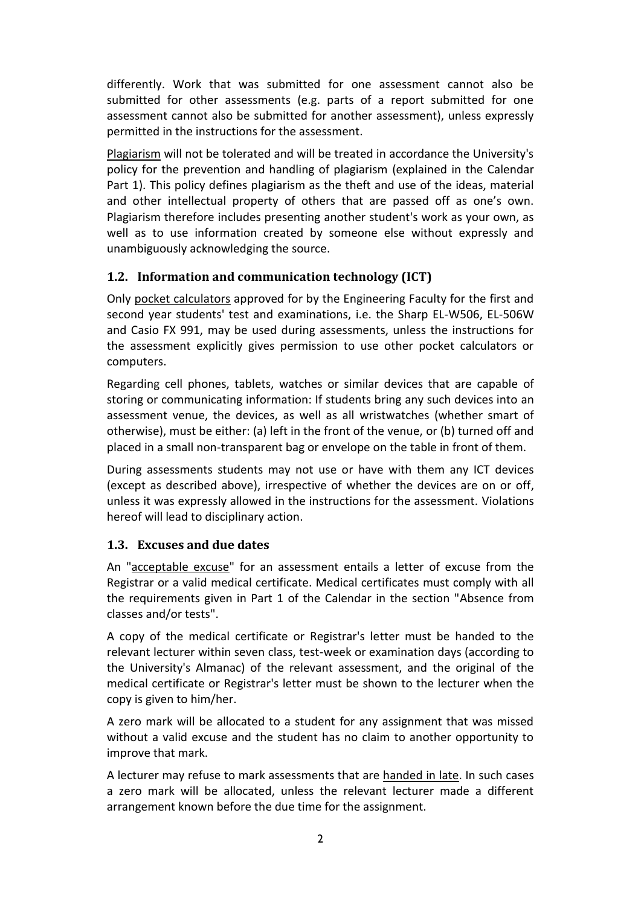differently. Work that was submitted for one assessment cannot also be submitted for other assessments (e.g. parts of a report submitted for one assessment cannot also be submitted for another assessment), unless expressly permitted in the instructions for the assessment.

Plagiarism will not be tolerated and will be treated in accordance the University's policy for the prevention and handling of plagiarism (explained in the Calendar Part 1). This policy defines plagiarism as the theft and use of the ideas, material and other intellectual property of others that are passed off as one's own. Plagiarism therefore includes presenting another student's work as your own, as well as to use information created by someone else without expressly and unambiguously acknowledging the source.

#### <span id="page-1-0"></span>**1.2. Information and communication technology (ICT)**

Only pocket calculators approved for by the Engineering Faculty for the first and second year students' test and examinations, i.e. the Sharp EL-W506, EL-506W and Casio FX 991, may be used during assessments, unless the instructions for the assessment explicitly gives permission to use other pocket calculators or computers.

Regarding cell phones, tablets, watches or similar devices that are capable of storing or communicating information: If students bring any such devices into an assessment venue, the devices, as well as all wristwatches (whether smart of otherwise), must be either: (a) left in the front of the venue, or (b) turned off and placed in a small non-transparent bag or envelope on the table in front of them.

During assessments students may not use or have with them any ICT devices (except as described above), irrespective of whether the devices are on or off, unless it was expressly allowed in the instructions for the assessment. Violations hereof will lead to disciplinary action.

#### <span id="page-1-1"></span>**1.3. Excuses and due dates**

An "acceptable excuse" for an assessment entails a letter of excuse from the Registrar or a valid medical certificate. Medical certificates must comply with all the requirements given in Part 1 of the Calendar in the section "Absence from classes and/or tests".

A copy of the medical certificate or Registrar's letter must be handed to the relevant lecturer within seven class, test-week or examination days (according to the University's Almanac) of the relevant assessment, and the original of the medical certificate or Registrar's letter must be shown to the lecturer when the copy is given to him/her.

A zero mark will be allocated to a student for any assignment that was missed without a valid excuse and the student has no claim to another opportunity to improve that mark.

A lecturer may refuse to mark assessments that are handed in late. In such cases a zero mark will be allocated, unless the relevant lecturer made a different arrangement known before the due time for the assignment.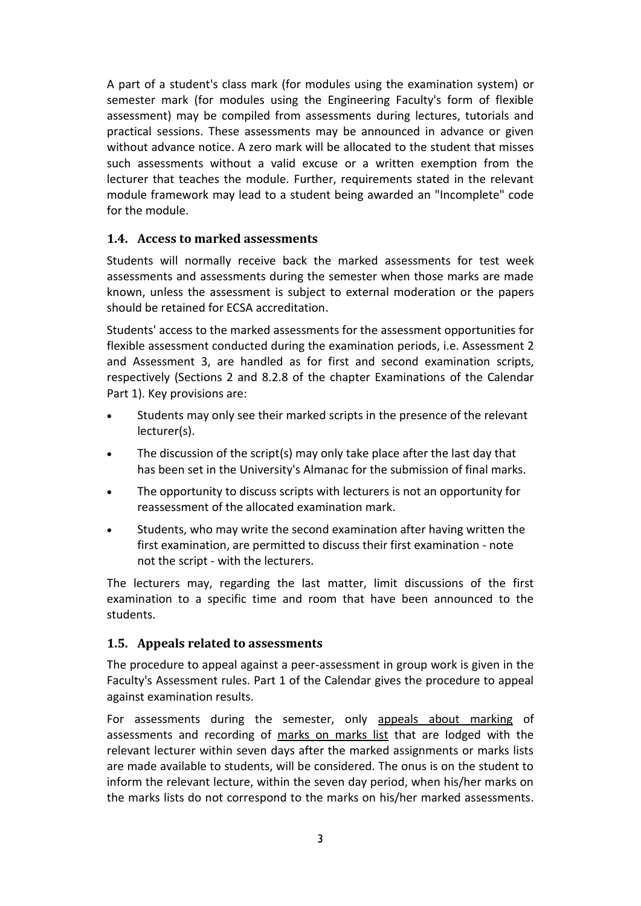A part of a student's class mark (for modules using the examination system) or semester mark (for modules using the Engineering Faculty's form of flexible assessment) may be compiled from assessments during lectures, tutorials and practical sessions. These assessments may be announced in advance or given without advance notice. A zero mark will be allocated to the student that misses such assessments without a valid excuse or a written exemption from the lecturer that teaches the module. Further, requirements stated in the relevant module framework may lead to a student being awarded an "Incomplete" code for the module.

#### <span id="page-2-0"></span>**1.4. Access to marked assessments**

Students will normally receive back the marked assessments for test week assessments and assessments during the semester when those marks are made known, unless the assessment is subject to external moderation or the papers should be retained for ECSA accreditation.

Students' access to the marked assessments for the assessment opportunities for flexible assessment conducted during the examination periods, i.e. Assessment 2 and Assessment 3, are handled as for first and second examination scripts, respectively (Sections 2 and 8.2.8 of the chapter Examinations of the Calendar Part 1). Key provisions are:

- Students may only see their marked scripts in the presence of the relevant lecturer(s).
- The discussion of the script(s) may only take place after the last day that has been set in the University's Almanac for the submission of final marks.
- The opportunity to discuss scripts with lecturers is not an opportunity for reassessment of the allocated examination mark.
- Students, who may write the second examination after having written the first examination, are permitted to discuss their first examination - note not the script - with the lecturers.

The lecturers may, regarding the last matter, limit discussions of the first examination to a specific time and room that have been announced to the students.

#### <span id="page-2-1"></span>**1.5. Appeals related to assessments**

The procedure to appeal against a peer-assessment in group work is given in the Faculty's Assessment rules. Part 1 of the Calendar gives the procedure to appeal against examination results.

For assessments during the semester, only appeals about marking of assessments and recording of marks on marks list that are lodged with the relevant lecturer within seven days after the marked assignments or marks lists are made available to students, will be considered. The onus is on the student to inform the relevant lecture, within the seven day period, when his/her marks on the marks lists do not correspond to the marks on his/her marked assessments.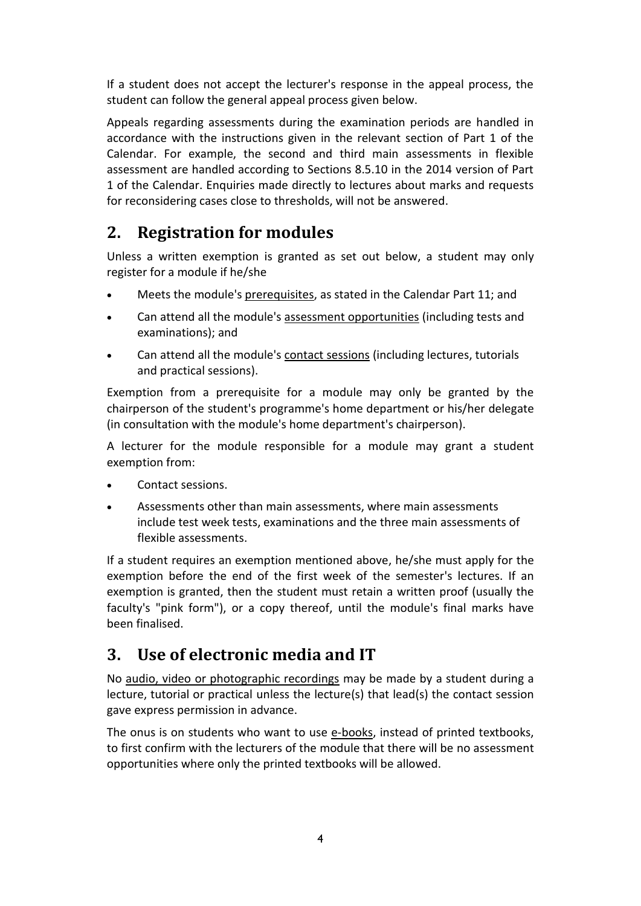If a student does not accept the lecturer's response in the appeal process, the student can follow the general appeal process given below.

Appeals regarding assessments during the examination periods are handled in accordance with the instructions given in the relevant section of Part 1 of the Calendar. For example, the second and third main assessments in flexible assessment are handled according to Sections 8.5.10 in the 2014 version of Part 1 of the Calendar. Enquiries made directly to lectures about marks and requests for reconsidering cases close to thresholds, will not be answered.

## <span id="page-3-0"></span>**2. Registration for modules**

Unless a written exemption is granted as set out below, a student may only register for a module if he/she

- Meets the module's prerequisites, as stated in the Calendar Part 11; and
- Can attend all the module's assessment opportunities (including tests and examinations); and
- Can attend all the module's contact sessions (including lectures, tutorials and practical sessions).

Exemption from a prerequisite for a module may only be granted by the chairperson of the student's programme's home department or his/her delegate (in consultation with the module's home department's chairperson).

A lecturer for the module responsible for a module may grant a student exemption from:

- Contact sessions.
- Assessments other than main assessments, where main assessments include test week tests, examinations and the three main assessments of flexible assessments.

If a student requires an exemption mentioned above, he/she must apply for the exemption before the end of the first week of the semester's lectures. If an exemption is granted, then the student must retain a written proof (usually the faculty's "pink form"), or a copy thereof, until the module's final marks have been finalised.

### <span id="page-3-1"></span>**3. Use of electronic media and IT**

No audio, video or photographic recordings may be made by a student during a lecture, tutorial or practical unless the lecture(s) that lead(s) the contact session gave express permission in advance.

The onus is on students who want to use e-books, instead of printed textbooks, to first confirm with the lecturers of the module that there will be no assessment opportunities where only the printed textbooks will be allowed.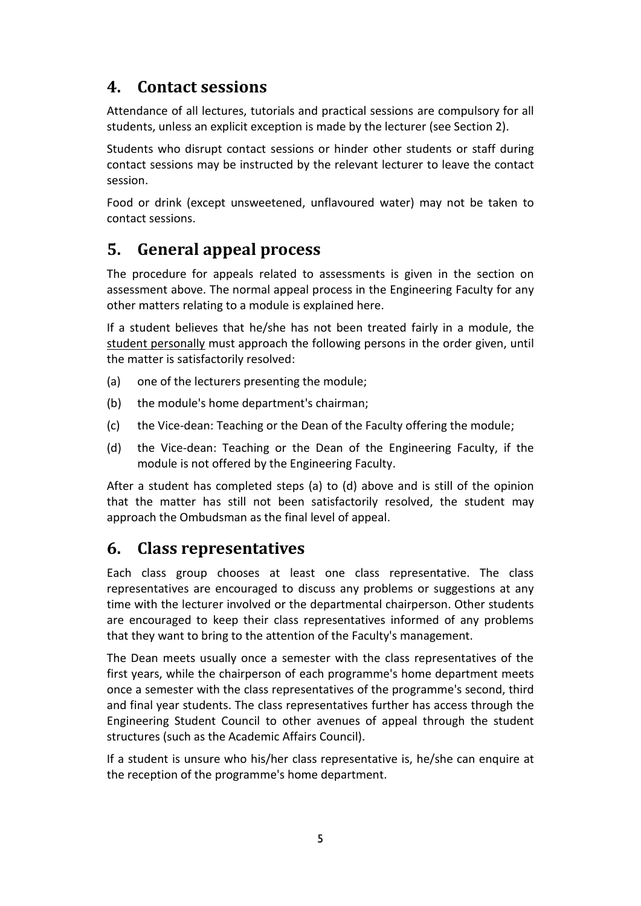### <span id="page-4-0"></span>**4. Contact sessions**

Attendance of all lectures, tutorials and practical sessions are compulsory for all students, unless an explicit exception is made by the lecturer (see Section 2).

Students who disrupt contact sessions or hinder other students or staff during contact sessions may be instructed by the relevant lecturer to leave the contact session.

Food or drink (except unsweetened, unflavoured water) may not be taken to contact sessions.

### <span id="page-4-1"></span>**5. General appeal process**

The procedure for appeals related to assessments is given in the section on assessment above. The normal appeal process in the Engineering Faculty for any other matters relating to a module is explained here.

If a student believes that he/she has not been treated fairly in a module, the student personally must approach the following persons in the order given, until the matter is satisfactorily resolved:

- (a) one of the lecturers presenting the module;
- (b) the module's home department's chairman;
- (c) the Vice-dean: Teaching or the Dean of the Faculty offering the module;
- (d) the Vice-dean: Teaching or the Dean of the Engineering Faculty, if the module is not offered by the Engineering Faculty.

After a student has completed steps (a) to (d) above and is still of the opinion that the matter has still not been satisfactorily resolved, the student may approach the Ombudsman as the final level of appeal.

### <span id="page-4-2"></span>**6. Class representatives**

Each class group chooses at least one class representative. The class representatives are encouraged to discuss any problems or suggestions at any time with the lecturer involved or the departmental chairperson. Other students are encouraged to keep their class representatives informed of any problems that they want to bring to the attention of the Faculty's management.

The Dean meets usually once a semester with the class representatives of the first years, while the chairperson of each programme's home department meets once a semester with the class representatives of the programme's second, third and final year students. The class representatives further has access through the Engineering Student Council to other avenues of appeal through the student structures (such as the Academic Affairs Council).

If a student is unsure who his/her class representative is, he/she can enquire at the reception of the programme's home department.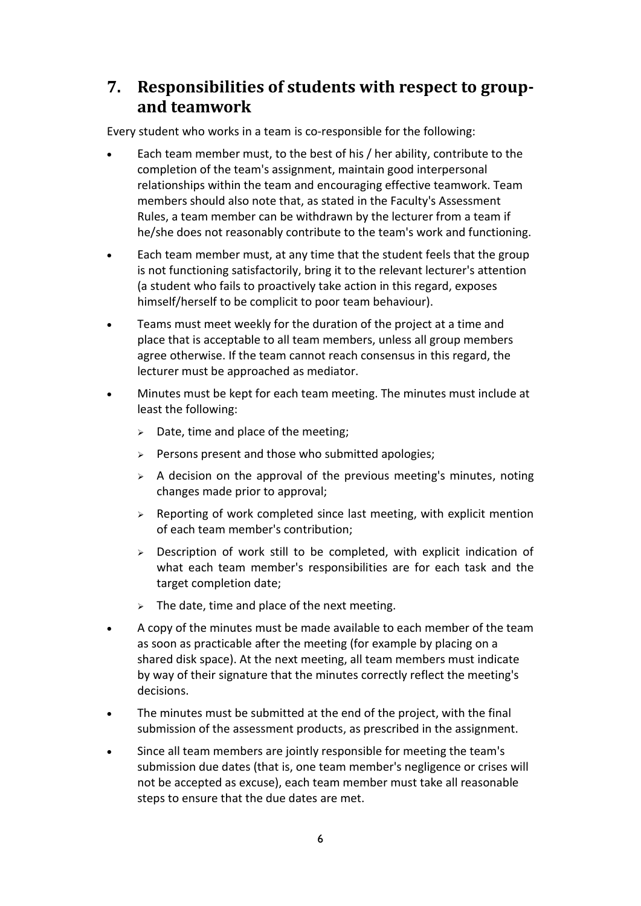### <span id="page-5-0"></span>**7. Responsibilities of students with respect to groupand teamwork**

Every student who works in a team is co-responsible for the following:

- Each team member must, to the best of his / her ability, contribute to the completion of the team's assignment, maintain good interpersonal relationships within the team and encouraging effective teamwork. Team members should also note that, as stated in the Faculty's Assessment Rules, a team member can be withdrawn by the lecturer from a team if he/she does not reasonably contribute to the team's work and functioning.
- Each team member must, at any time that the student feels that the group is not functioning satisfactorily, bring it to the relevant lecturer's attention (a student who fails to proactively take action in this regard, exposes himself/herself to be complicit to poor team behaviour).
- Teams must meet weekly for the duration of the project at a time and place that is acceptable to all team members, unless all group members agree otherwise. If the team cannot reach consensus in this regard, the lecturer must be approached as mediator.
- Minutes must be kept for each team meeting. The minutes must include at least the following:
	- $\geq$  Date, time and place of the meeting;
	- $\triangleright$  Persons present and those who submitted apologies;
	- $\triangleright$  A decision on the approval of the previous meeting's minutes, noting changes made prior to approval;
	- $\triangleright$  Reporting of work completed since last meeting, with explicit mention of each team member's contribution;
	- $\triangleright$  Description of work still to be completed, with explicit indication of what each team member's responsibilities are for each task and the target completion date;
	- $\triangleright$  The date, time and place of the next meeting.
- A copy of the minutes must be made available to each member of the team as soon as practicable after the meeting (for example by placing on a shared disk space). At the next meeting, all team members must indicate by way of their signature that the minutes correctly reflect the meeting's decisions.
- The minutes must be submitted at the end of the project, with the final submission of the assessment products, as prescribed in the assignment.
- Since all team members are jointly responsible for meeting the team's submission due dates (that is, one team member's negligence or crises will not be accepted as excuse), each team member must take all reasonable steps to ensure that the due dates are met.